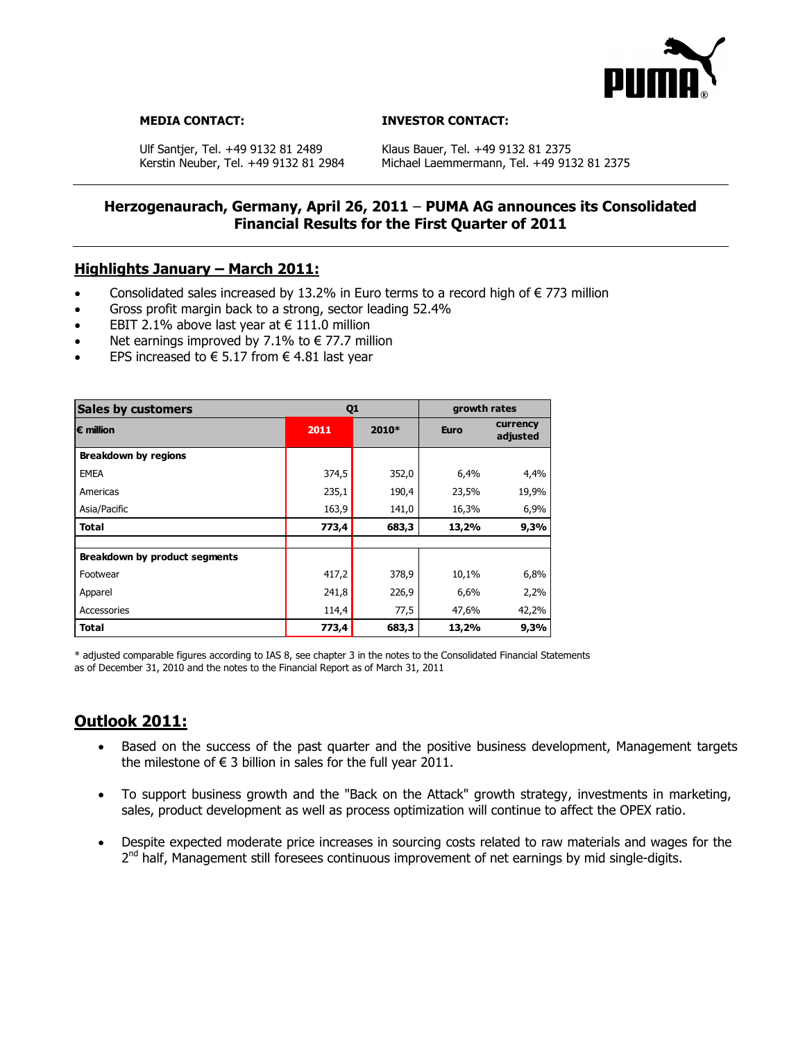

#### **MEDIA CONTACT: INVESTOR CONTACT:**

Ulf Santjer, Tel. +49 9132 81 2489 Klaus Bauer, Tel. +49 9132 81 2375<br>Kerstin Neuber, Tel. +49 9132 81 2984 Michael Laemmermann, Tel. +49 91

Michael Laemmermann, Tel. +49 9132 81 2375

## **Herzogenaurach, Germany, April 26, 2011** – **PUMA AG announces its Consolidated Financial Results for the First Quarter of 2011**

## **Highlights January – March 2011:**

- Consolidated sales increased by 13.2% in Euro terms to a record high of  $\epsilon$  773 million
- Gross profit margin back to a strong, sector leading 52.4%
- EBIT 2.1% above last year at  $€ 111.0$  million
- Net earnings improved by 7.1% to  $\epsilon$  77.7 million
- EPS increased to € 5.17 from  $€$  4.81 last year

| <b>Sales by customers</b>     | Q <sub>1</sub> |       | growth rates |                      |
|-------------------------------|----------------|-------|--------------|----------------------|
| $\epsilon$ million            | 2011           | 2010* | <b>Euro</b>  | currency<br>adjusted |
| <b>Breakdown by regions</b>   |                |       |              |                      |
| <b>EMEA</b>                   | 374,5          | 352,0 | 6,4%         | 4,4%                 |
| Americas                      | 235,1          | 190,4 | 23,5%        | 19,9%                |
| Asia/Pacific                  | 163,9          | 141,0 | 16,3%        | 6,9%                 |
| <b>Total</b>                  | 773,4          | 683,3 | 13,2%        | 9,3%                 |
| Breakdown by product segments |                |       |              |                      |
| Footwear                      | 417,2          | 378,9 | 10,1%        | 6,8%                 |
| Apparel                       | 241,8          | 226,9 | 6,6%         | 2,2%                 |
| Accessories                   | 114,4          | 77,5  | 47,6%        | 42,2%                |
| Total                         | 773,4          | 683,3 | 13,2%        | 9,3%                 |

\* adjusted comparable figures according to IAS 8, see chapter 3 in the notes to the Consolidated Financial Statements as of December 31, 2010 and the notes to the Financial Report as of March 31, 2011

# **Outlook 2011:**

- Based on the success of the past quarter and the positive business development, Management targets the milestone of  $\epsilon$  3 billion in sales for the full year 2011.
- To support business growth and the "Back on the Attack" growth strategy, investments in marketing, sales, product development as well as process optimization will continue to affect the OPEX ratio.
- Despite expected moderate price increases in sourcing costs related to raw materials and wages for the 2<sup>nd</sup> half, Management still foresees continuous improvement of net earnings by mid single-digits.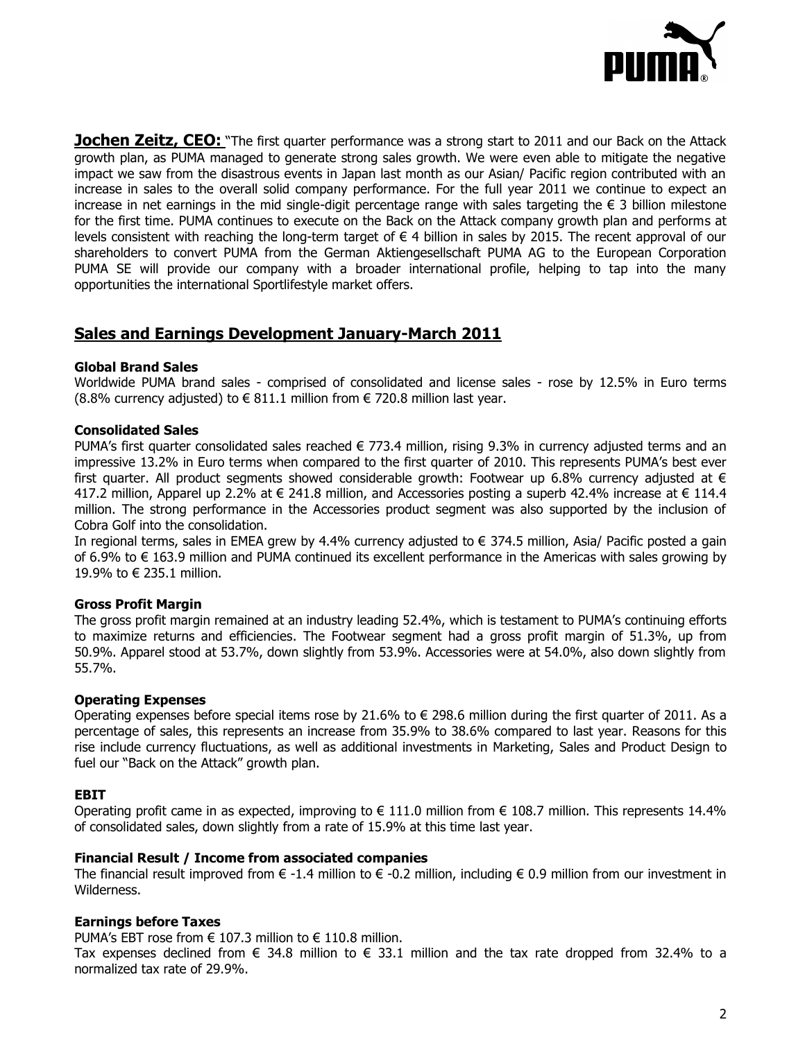

**Jochen Zeitz, CEO:** "The first quarter performance was a strong start to 2011 and our Back on the Attack growth plan, as PUMA managed to generate strong sales growth. We were even able to mitigate the negative impact we saw from the disastrous events in Japan last month as our Asian/ Pacific region contributed with an increase in sales to the overall solid company performance. For the full year 2011 we continue to expect an increase in net earnings in the mid single-digit percentage range with sales targeting the € 3 billion milestone for the first time. PUMA continues to execute on the Back on the Attack company growth plan and performs at levels consistent with reaching the long-term target of  $\epsilon$  4 billion in sales by 2015. The recent approval of our shareholders to convert PUMA from the German Aktiengesellschaft PUMA AG to the European Corporation PUMA SE will provide our company with a broader international profile, helping to tap into the many opportunities the international Sportlifestyle market offers.

# **Sales and Earnings Development January-March 2011**

### **Global Brand Sales**

Worldwide PUMA brand sales - comprised of consolidated and license sales - rose by 12.5% in Euro terms (8.8% currency adjusted) to € 811.1 million from  $∈$  720.8 million last year.

### **Consolidated Sales**

PUMA's first quarter consolidated sales reached  $\epsilon$  773.4 million, rising 9.3% in currency adjusted terms and an impressive 13.2% in Euro terms when compared to the first quarter of 2010. This represents PUMA's best ever first quarter. All product segments showed considerable growth: Footwear up 6.8% currency adjusted at  $\epsilon$ 417.2 million, Apparel up 2.2% at € 241.8 million, and Accessories posting a superb 42.4% increase at € 114.4 million. The strong performance in the Accessories product segment was also supported by the inclusion of Cobra Golf into the consolidation.

In regional terms, sales in EMEA grew by 4.4% currency adjusted to € 374.5 million, Asia/ Pacific posted a gain of 6.9% to € 163.9 million and PUMA continued its excellent performance in the Americas with sales growing by 19.9% to € 235.1 million.

## **Gross Profit Margin**

The gross profit margin remained at an industry leading 52.4%, which is testament to PUMA"s continuing efforts to maximize returns and efficiencies. The Footwear segment had a gross profit margin of 51.3%, up from 50.9%. Apparel stood at 53.7%, down slightly from 53.9%. Accessories were at 54.0%, also down slightly from 55.7%.

### **Operating Expenses**

Operating expenses before special items rose by 21.6% to  $\epsilon$  298.6 million during the first quarter of 2011. As a percentage of sales, this represents an increase from 35.9% to 38.6% compared to last year. Reasons for this rise include currency fluctuations, as well as additional investments in Marketing, Sales and Product Design to fuel our "Back on the Attack" growth plan.

### **EBIT**

Operating profit came in as expected, improving to  $\in$  111.0 million from  $\in$  108.7 million. This represents 14.4% of consolidated sales, down slightly from a rate of 15.9% at this time last year.

### **Financial Result / Income from associated companies**

The financial result improved from  $\epsilon$  -1.4 million to  $\epsilon$  -0.2 million, including  $\epsilon$  0.9 million from our investment in Wilderness.

### **Earnings before Taxes**

PUMA's EBT rose from € 107.3 million to € 110.8 million.

Tax expenses declined from  $\epsilon$  34.8 million to  $\epsilon$  33.1 million and the tax rate dropped from 32.4% to a normalized tax rate of 29.9%.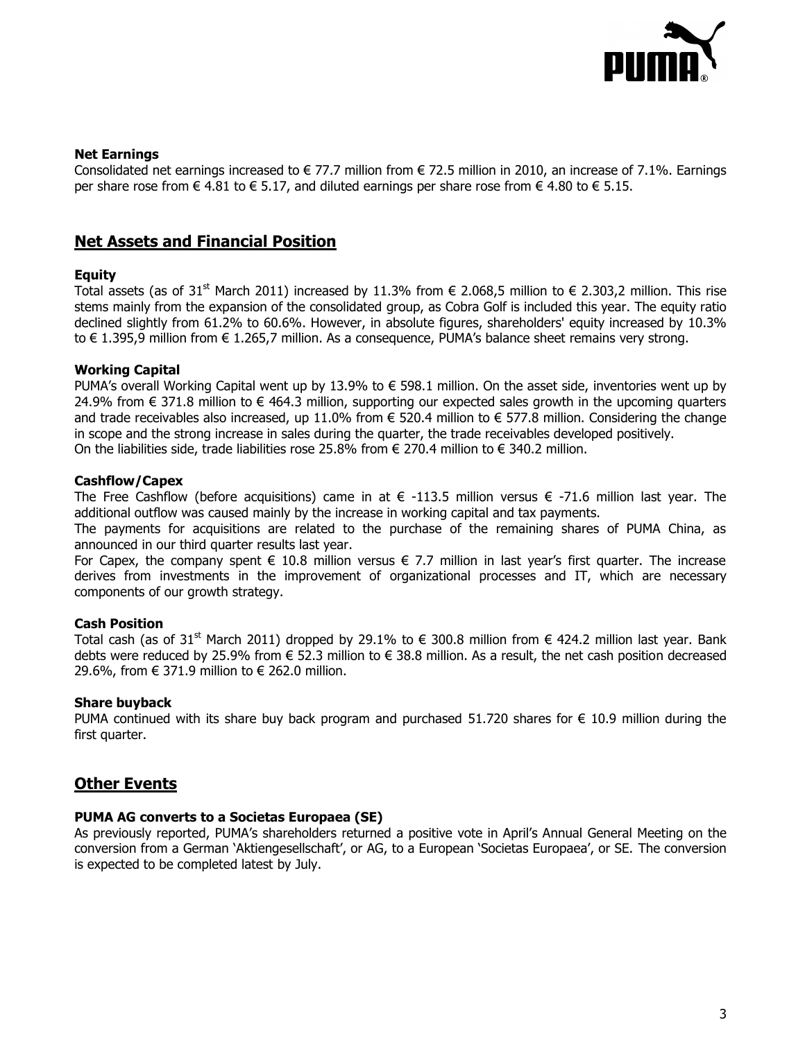

#### **Net Earnings**

Consolidated net earnings increased to  $\in$  77.7 million from  $\in$  72.5 million in 2010, an increase of 7.1%. Earnings per share rose from  $\in$  4.81 to  $\in$  5.17, and diluted earnings per share rose from  $\in$  4.80 to  $\in$  5.15.

## **Net Assets and Financial Position**

#### **Equity**

Total assets (as of 31<sup>st</sup> March 2011) increased by 11.3% from € 2.068.5 million to € 2.303.2 million. This rise stems mainly from the expansion of the consolidated group, as Cobra Golf is included this year. The equity ratio declined slightly from 61.2% to 60.6%. However, in absolute figures, shareholders' equity increased by 10.3% to € 1.395,9 million from € 1.265,7 million. As a consequence, PUMA"s balance sheet remains very strong.

#### **Working Capital**

PUMA's overall Working Capital went up by 13.9% to € 598.1 million. On the asset side, inventories went up by 24.9% from € 371.8 million to € 464.3 million, supporting our expected sales growth in the upcoming quarters and trade receivables also increased, up 11.0% from  $\epsilon$  520.4 million to  $\epsilon$  577.8 million. Considering the change in scope and the strong increase in sales during the quarter, the trade receivables developed positively. On the liabilities side, trade liabilities rose 25.8% from  $\epsilon$  270.4 million to  $\epsilon$  340.2 million.

#### **Cashflow/Capex**

The Free Cashflow (before acquisitions) came in at  $\epsilon$  -113.5 million versus  $\epsilon$  -71.6 million last year. The additional outflow was caused mainly by the increase in working capital and tax payments.

The payments for acquisitions are related to the purchase of the remaining shares of PUMA China, as announced in our third quarter results last year.

For Capex, the company spent  $\epsilon$  10.8 million versus  $\epsilon$  7.7 million in last year's first quarter. The increase derives from investments in the improvement of organizational processes and IT, which are necessary components of our growth strategy.

### **Cash Position**

Total cash (as of 31<sup>st</sup> March 2011) dropped by 29.1% to € 300.8 million from € 424.2 million last year. Bank debts were reduced by 25.9% from  $\epsilon$  52.3 million to  $\epsilon$  38.8 million. As a result, the net cash position decreased 29.6%, from € 371.9 million to € 262.0 million.

#### **Share buyback**

PUMA continued with its share buy back program and purchased 51.720 shares for  $\epsilon$  10.9 million during the first quarter.

## **Other Events**

## **PUMA AG converts to a Societas Europaea (SE)**

As previously reported, PUMA"s shareholders returned a positive vote in April"s Annual General Meeting on the conversion from a German "Aktiengesellschaft", or AG, to a European "Societas Europaea", or SE. The conversion is expected to be completed latest by July.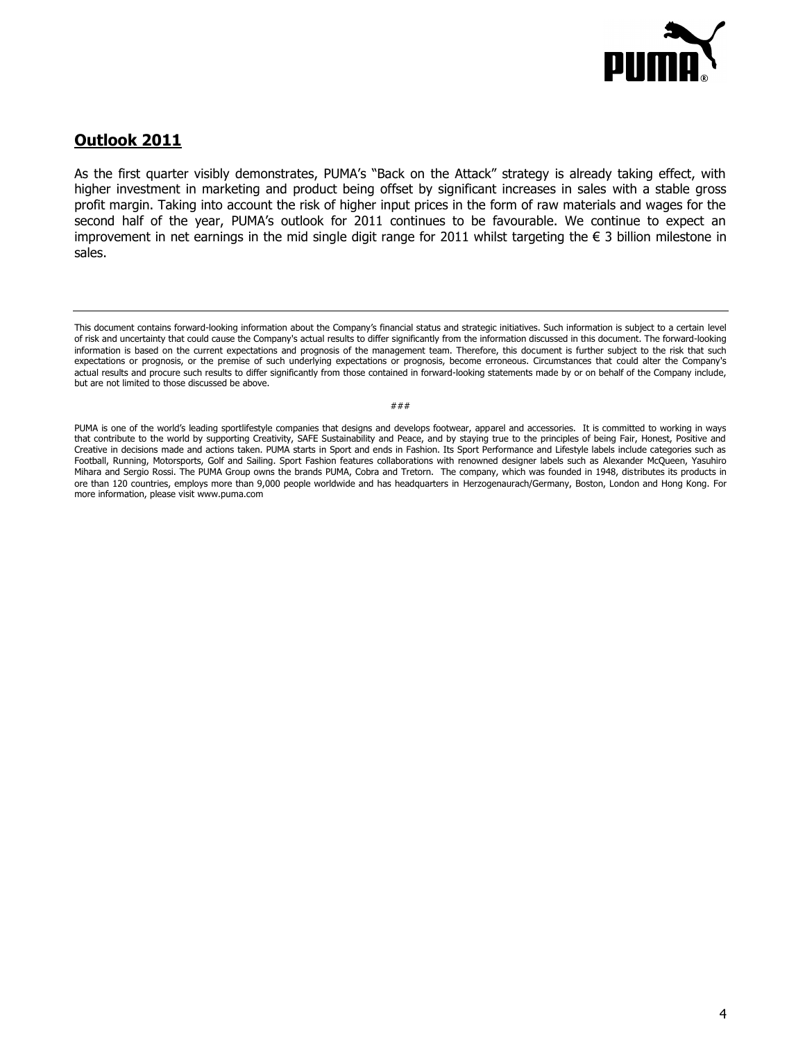

# **Outlook 2011**

As the first quarter visibly demonstrates, PUMA's "Back on the Attack" strategy is already taking effect, with higher investment in marketing and product being offset by significant increases in sales with a stable gross profit margin. Taking into account the risk of higher input prices in the form of raw materials and wages for the second half of the year, PUMA's outlook for 2011 continues to be favourable. We continue to expect an improvement in net earnings in the mid single digit range for 2011 whilst targeting the € 3 billion milestone in sales.

PUMA is one of the world's leading sportlifestyle companies that designs and develops footwear, apparel and accessories. It is committed to working in ways that contribute to the world by supporting Creativity, SAFE Sustainability and Peace, and by staying true to the principles of being Fair, Honest, Positive and Creative in decisions made and actions taken. PUMA starts in Sport and ends in Fashion. Its Sport Performance and Lifestyle labels include categories such as Football, Running, Motorsports, Golf and Sailing. Sport Fashion features collaborations with renowned designer labels such as Alexander McQueen, Yasuhiro Mihara and Sergio Rossi. The PUMA Group owns the brands PUMA, Cobra and Tretorn. The company, which was founded in 1948, distributes its products in ore than 120 countries, employs more than 9,000 people worldwide and has headquarters in Herzogenaurach/Germany, Boston, London and Hong Kong. For more information, please visit www.puma.com

This document contains forward-looking information about the Company"s financial status and strategic initiatives. Such information is subject to a certain level of risk and uncertainty that could cause the Company's actual results to differ significantly from the information discussed in this document. The forward-looking information is based on the current expectations and prognosis of the management team. Therefore, this document is further subject to the risk that such expectations or prognosis, or the premise of such underlying expectations or prognosis, become erroneous. Circumstances that could alter the Company's actual results and procure such results to differ significantly from those contained in forward-looking statements made by or on behalf of the Company include, but are not limited to those discussed be above.

<sup>###</sup>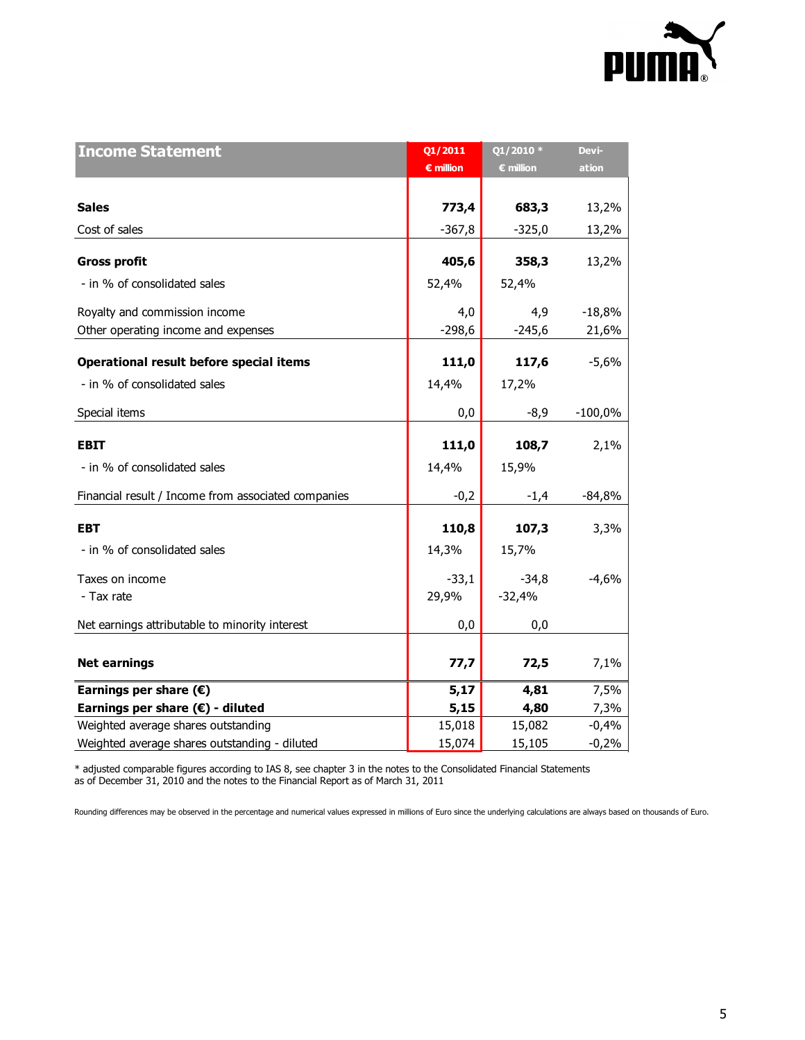

| <b>Income Statement</b>                             | Q1/2011            | $Q1/2010*$         | Devi-     |
|-----------------------------------------------------|--------------------|--------------------|-----------|
|                                                     | $\epsilon$ million | $\epsilon$ million | ation     |
|                                                     |                    |                    |           |
| <b>Sales</b>                                        | 773,4              | 683,3              | 13,2%     |
| Cost of sales                                       | $-367,8$           | $-325,0$           | 13,2%     |
|                                                     |                    |                    |           |
| <b>Gross profit</b>                                 | 405,6              | 358,3              | 13,2%     |
| - in % of consolidated sales                        | 52,4%              | 52,4%              |           |
| Royalty and commission income                       | 4,0                | 4,9                | $-18,8%$  |
| Other operating income and expenses                 | $-298,6$           | $-245,6$           | 21,6%     |
|                                                     |                    |                    |           |
| Operational result before special items             | 111,0              | 117,6              | $-5,6%$   |
| - in % of consolidated sales                        | 14,4%              | 17,2%              |           |
| Special items                                       | 0,0                | $-8,9$             | $-100,0%$ |
|                                                     |                    |                    |           |
| <b>EBIT</b>                                         | 111,0              | 108,7              | 2,1%      |
| - in % of consolidated sales                        | 14,4%              | 15,9%              |           |
| Financial result / Income from associated companies | $-0,2$             | $-1,4$             | $-84,8%$  |
| <b>EBT</b>                                          | 110,8              | 107,3              | 3,3%      |
|                                                     |                    |                    |           |
| - in % of consolidated sales                        | 14,3%              | 15,7%              |           |
| Taxes on income                                     | $-33,1$            | $-34,8$            | $-4,6%$   |
| - Tax rate                                          | 29,9%              | $-32,4%$           |           |
| Net earnings attributable to minority interest      | 0,0                | 0,0                |           |
|                                                     |                    |                    |           |
| <b>Net earnings</b>                                 | 77,7               | 72,5               | 7,1%      |
| Earnings per share $(\epsilon)$                     | 5,17               | 4,81               | 7,5%      |
| Earnings per share $(E)$ - diluted                  | 5,15               | 4,80               | 7,3%      |
| Weighted average shares outstanding                 | 15,018             | 15,082             | $-0,4%$   |
| Weighted average shares outstanding - diluted       | 15,074             | 15,105             | $-0,2%$   |

\* adjusted comparable figures according to IAS 8, see chapter 3 in the notes to the Consolidated Financial Statements as of December 31, 2010 and the notes to the Financial Report as of March 31, 2011

Rounding differences may be observed in the percentage and numerical values expressed in millions of Euro since the underlying calculations are always based on thousands of Euro.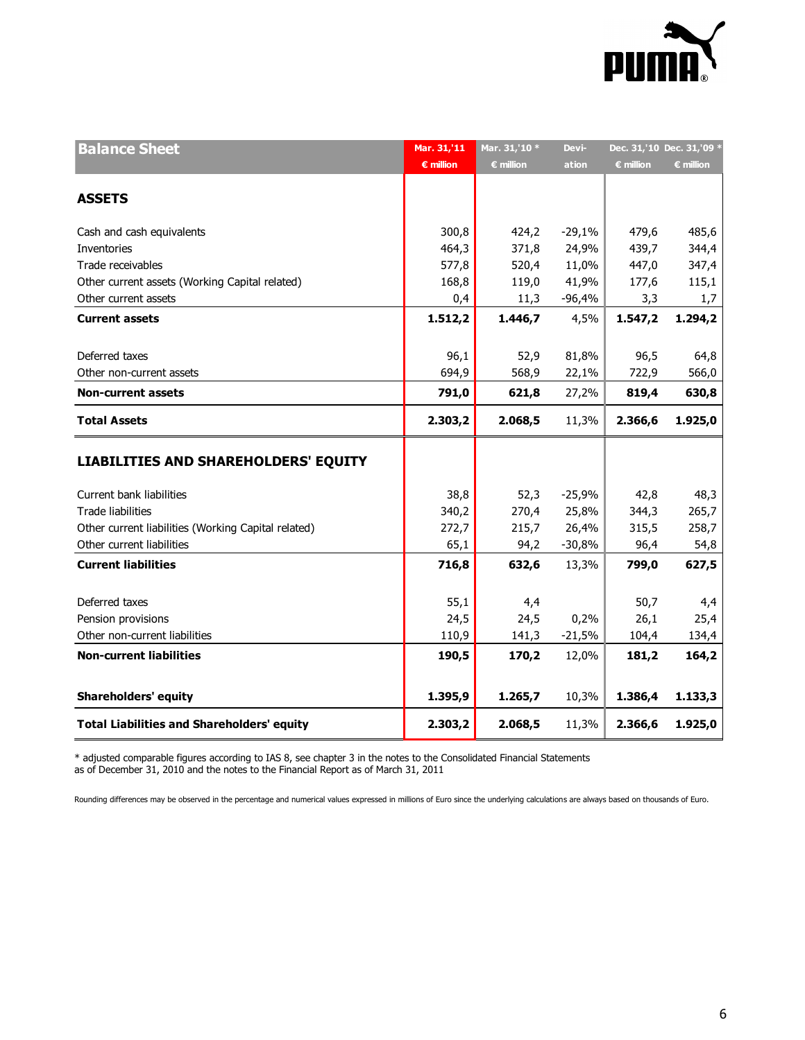

| <b>Balance Sheet</b>                                | Mar. 31,'11        | Mar. 31,'10 *      | Devi-    | Dec. 31,'10 Dec. 31,'09 * |                    |
|-----------------------------------------------------|--------------------|--------------------|----------|---------------------------|--------------------|
|                                                     | $\epsilon$ million | $\epsilon$ million | ation    | <b>€ million</b>          | $\epsilon$ million |
|                                                     |                    |                    |          |                           |                    |
| <b>ASSETS</b>                                       |                    |                    |          |                           |                    |
| Cash and cash equivalents                           | 300,8              | 424,2              | $-29,1%$ | 479,6                     | 485,6              |
| Inventories                                         | 464,3              | 371,8              | 24,9%    | 439,7                     | 344,4              |
| Trade receivables                                   | 577,8              | 520,4              | 11,0%    | 447,0                     | 347,4              |
| Other current assets (Working Capital related)      | 168,8              | 119,0              | 41,9%    | 177,6                     | 115,1              |
| Other current assets                                | 0,4                | 11,3               | $-96,4%$ | 3,3                       | 1,7                |
| <b>Current assets</b>                               | 1.512,2            | 1.446,7            | 4,5%     | 1.547,2                   | 1.294,2            |
|                                                     |                    |                    |          |                           |                    |
| Deferred taxes                                      | 96,1               | 52,9               | 81,8%    | 96,5                      | 64,8               |
| Other non-current assets                            | 694,9              | 568,9              | 22,1%    | 722,9                     | 566,0              |
| <b>Non-current assets</b>                           | 791,0              | 621,8              | 27,2%    | 819,4                     | 630,8              |
| <b>Total Assets</b>                                 | 2.303,2            | 2.068,5            | 11,3%    | 2.366,6                   | 1.925,0            |
| <b>LIABILITIES AND SHAREHOLDERS' EQUITY</b>         |                    |                    |          |                           |                    |
| Current bank liabilities                            | 38,8               | 52,3               | $-25,9%$ | 42,8                      | 48,3               |
| <b>Trade liabilities</b>                            | 340,2              | 270,4              | 25,8%    | 344,3                     | 265,7              |
| Other current liabilities (Working Capital related) | 272,7              | 215,7              | 26,4%    | 315,5                     | 258,7              |
| Other current liabilities                           | 65,1               | 94,2               | $-30,8%$ | 96,4                      | 54,8               |
| <b>Current liabilities</b>                          | 716,8              | 632,6              | 13,3%    | 799,0                     | 627,5              |
|                                                     |                    |                    |          |                           |                    |
| Deferred taxes                                      | 55,1               | 4,4                |          | 50,7                      | 4,4                |
| Pension provisions                                  | 24,5               | 24,5               | 0,2%     | 26,1                      | 25,4               |
| Other non-current liabilities                       | 110,9              | 141,3              | $-21,5%$ | 104,4                     | 134,4              |
| <b>Non-current liabilities</b>                      | 190,5              | 170,2              | 12,0%    | 181,2                     | 164,2              |
| <b>Shareholders' equity</b>                         | 1.395,9            | 1.265,7            | 10,3%    | 1.386,4                   | 1.133,3            |
| <b>Total Liabilities and Shareholders' equity</b>   | 2.303,2            | 2.068,5            | 11,3%    | 2.366,6                   | 1.925,0            |
|                                                     |                    |                    |          |                           |                    |

\* adjusted comparable figures according to IAS 8, see chapter 3 in the notes to the Consolidated Financial Statements as of December 31, 2010 and the notes to the Financial Report as of March 31, 2011

Rounding differences may be observed in the percentage and numerical values expressed in millions of Euro since the underlying calculations are always based on thousands of Euro.